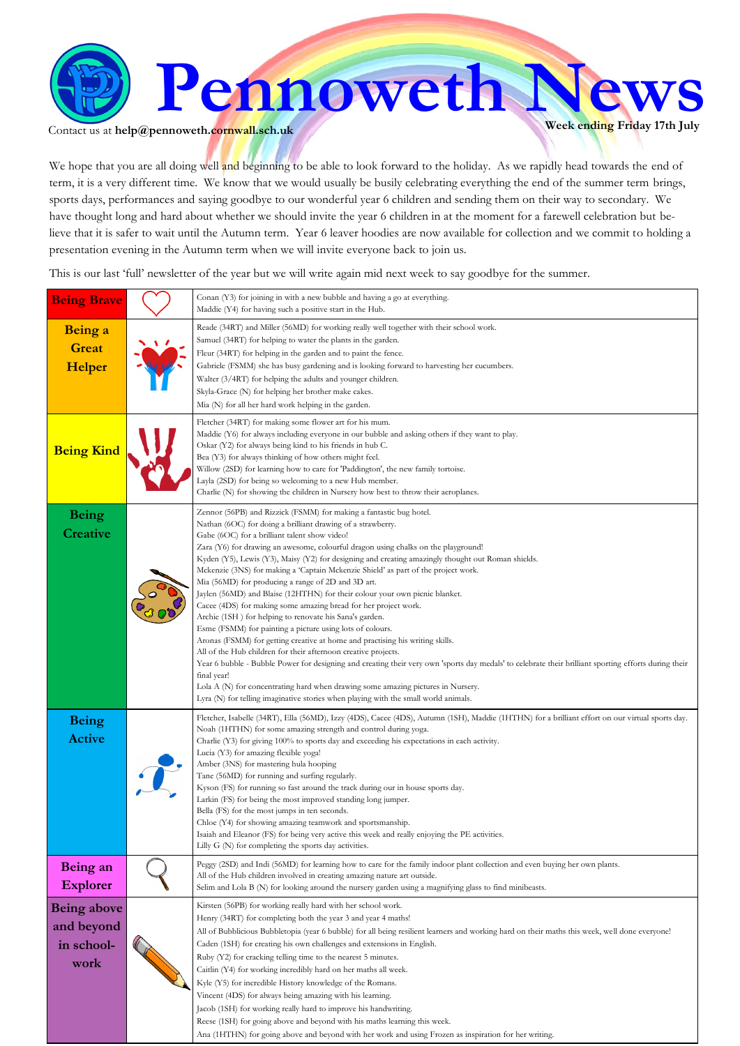

Contact us at  $\text{help@pennoweth.cornwall.sch.uk}$ 

We hope that you are all doing well and beginning to be able to look forward to the holiday. As we rapidly head towards the end of term, it is a very different time. We know that we would usually be busily celebrating everything the end of the summer term brings, sports days, performances and saying goodbye to our wonderful year 6 children and sending them on their way to secondary. We have thought long and hard about whether we should invite the year 6 children in at the moment for a farewell celebration but believe that it is safer to wait until the Autumn term. Year 6 leaver hoodies are now available for collection and we commit to holding a presentation evening in the Autumn term when we will invite everyone back to join us.

This is our last 'full' newsletter of the year but we will write again mid next week to say goodbye for the summer.

| <b>Being Brave</b> |            | Conan (Y3) for joining in with a new bubble and having a go at everything.<br>Maddie (Y4) for having such a positive start in the Hub.                                                                                   |
|--------------------|------------|--------------------------------------------------------------------------------------------------------------------------------------------------------------------------------------------------------------------------|
| Being a            |            | Reade (34RT) and Miller (56MD) for working really well together with their school work.                                                                                                                                  |
|                    | $\sqrt{ }$ | Samuel (34RT) for helping to water the plants in the garden.                                                                                                                                                             |
| <b>Great</b>       |            | Fleur (34RT) for helping in the garden and to paint the fence.                                                                                                                                                           |
| Helper             |            | Gabriele (FSMM) she has busy gardening and is looking forward to harvesting her cucumbers.                                                                                                                               |
|                    |            | Walter (3/4RT) for helping the adults and younger children.                                                                                                                                                              |
|                    |            | Skyla-Grace (N) for helping her brother make cakes.<br>Mia (N) for all her hard work helping in the garden.                                                                                                              |
|                    |            |                                                                                                                                                                                                                          |
|                    |            | Fletcher (34RT) for making some flower art for his mum.<br>Maddie (Y6) for always including everyone in our bubble and asking others if they want to play.                                                               |
| <b>Being Kind</b>  |            | Oskar (Y2) for always being kind to his friends in hub C.                                                                                                                                                                |
|                    |            | Bea (Y3) for always thinking of how others might feel.                                                                                                                                                                   |
|                    |            | Willow (2SD) for learning how to care for 'Paddington', the new family tortoise.                                                                                                                                         |
|                    |            | Layla (2SD) for being so welcoming to a new Hub member.<br>Charlie (N) for showing the children in Nursery how best to throw their aeroplanes.                                                                           |
|                    |            |                                                                                                                                                                                                                          |
| <b>Being</b>       |            | Zennor (56PB) and Rizzick (FSMM) for making a fantastic bug hotel.<br>Nathan (6OC) for doing a brilliant drawing of a strawberry.                                                                                        |
| <b>Creative</b>    |            | Gabe (6OC) for a brilliant talent show video!                                                                                                                                                                            |
|                    |            | Zara (Y6) for drawing an awesome, colourful dragon using chalks on the playground!                                                                                                                                       |
|                    |            | Kyden (Y5), Lewis (Y3), Maisy (Y2) for designing and creating amazingly thought out Roman shields.                                                                                                                       |
|                    |            | Mckenzie (3NS) for making a 'Captain Mckenzie Shield' as part of the project work.<br>Mia (56MD) for producing a range of 2D and 3D art.                                                                                 |
|                    |            | Jaylen (56MD) and Blaise (12HTHN) for their colour your own picnic blanket.                                                                                                                                              |
|                    |            | Cacee (4DS) for making some amazing bread for her project work.                                                                                                                                                          |
|                    |            | Archie (1SH) for helping to renovate his Sana's garden.                                                                                                                                                                  |
|                    |            | Esme (FSMM) for painting a picture using lots of colours.<br>Aronas (FSMM) for getting creative at home and practising his writing skills.                                                                               |
|                    |            | All of the Hub children for their afternoon creative projects.                                                                                                                                                           |
|                    |            | Year 6 bubble - Bubble Power for designing and creating their very own 'sports day medals' to celebrate their brilliant sporting efforts during their                                                                    |
|                    |            | final year!                                                                                                                                                                                                              |
|                    |            | Lola A (N) for concentrating hard when drawing some amazing pictures in Nursery.<br>Lyra (N) for telling imaginative stories when playing with the small world animals.                                                  |
| <b>Being</b>       |            | Fletcher, Isabelle (34RT), Ella (56MD), Izzy (4DS), Cacee (4DS), Autumn (1SH), Maddie (1HTHN) for a brilliant effort on our virtual sports day.                                                                          |
|                    |            | Noah (1HTHN) for some amazing strength and control during yoga.                                                                                                                                                          |
| <b>Active</b>      |            | Charlie (Y3) for giving 100% to sports day and exceeding his expectations in each activity.                                                                                                                              |
|                    |            | Lucia (Y3) for amazing flexible yoga!<br>Amber (3NS) for mastering hula hooping                                                                                                                                          |
|                    |            | Tane (56MD) for running and surfing regularly.                                                                                                                                                                           |
|                    |            | Kyson (FS) for running so fast around the track during our in house sports day.                                                                                                                                          |
|                    |            | Larkin (FS) for being the most improved standing long jumper.<br>Bella (FS) for the most jumps in ten seconds.                                                                                                           |
|                    |            | Chloe (Y4) for showing amazing teamwork and sportsmanship.                                                                                                                                                               |
|                    |            | Isaiah and Eleanor (FS) for being very active this week and really enjoying the PE activities.                                                                                                                           |
|                    |            | Lilly G (N) for completing the sports day activities.                                                                                                                                                                    |
| Being an           |            | Peggy (2SD) and Indi (56MD) for learning how to care for the family indoor plant collection and even buying her own plants.                                                                                              |
| <b>Explorer</b>    |            | All of the Hub children involved in creating amazing nature art outside.                                                                                                                                                 |
|                    |            | Selim and Lola B (N) for looking around the nursery garden using a magnifying glass to find minibeasts.                                                                                                                  |
| <b>Being above</b> |            | Kirsten (56PB) for working really hard with her school work.                                                                                                                                                             |
| and beyond         |            | Henry (34RT) for completing both the year 3 and year 4 maths!                                                                                                                                                            |
| in school-         |            | All of Bubblicious Bubbletopia (year 6 bubble) for all being resilient learners and working hard on their maths this week, well done everyone!<br>Caden (1SH) for creating his own challenges and extensions in English. |
|                    |            | Ruby (Y2) for cracking telling time to the nearest 5 minutes.                                                                                                                                                            |
| work               |            | Caitlin (Y4) for working incredibly hard on her maths all week.                                                                                                                                                          |
|                    |            | Kyle (Y5) for incredible History knowledge of the Romans.                                                                                                                                                                |
|                    |            | Vincent (4DS) for always being amazing with his learning.                                                                                                                                                                |
|                    |            | Jacob (1SH) for working really hard to improve his handwriting.                                                                                                                                                          |
|                    |            | Reese (1SH) for going above and beyond with his maths learning this week.<br>Ana (1HTHN) for going above and beyond with her work and using Frozen as inspiration for her writing.                                       |
|                    |            |                                                                                                                                                                                                                          |